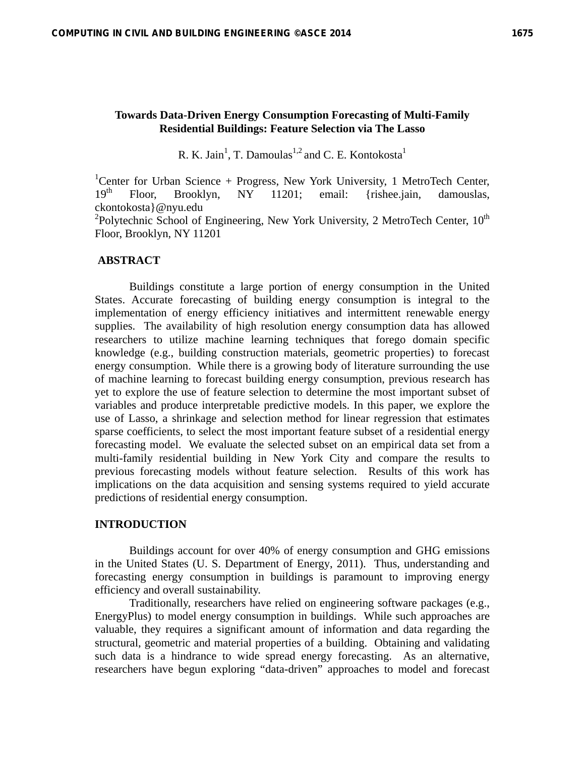# **Towards Data-Driven Energy Consumption Forecasting of Multi-Family Residential Buildings: Feature Selection via The Lasso**

R. K. Jain<sup>1</sup>, T. Damoulas<sup>1,2</sup> and C. E. Kontokosta<sup>1</sup>

<sup>1</sup>Center for Urban Science + Progress, New York University, 1 MetroTech Center,  $19<sup>th</sup>$  Floor, Brooklyn, NY 11201; email: {rishee.jain, damouslas, ckontokosta}@nyu.edu

<sup>2</sup>Polytechnic School of Engineering, New York University, 2 MetroTech Center, 10<sup>th</sup> Floor, Brooklyn, NY 11201

### **ABSTRACT**

Buildings constitute a large portion of energy consumption in the United States. Accurate forecasting of building energy consumption is integral to the implementation of energy efficiency initiatives and intermittent renewable energy supplies. The availability of high resolution energy consumption data has allowed researchers to utilize machine learning techniques that forego domain specific knowledge (e.g., building construction materials, geometric properties) to forecast energy consumption. While there is a growing body of literature surrounding the use of machine learning to forecast building energy consumption, previous research has yet to explore the use of feature selection to determine the most important subset of variables and produce interpretable predictive models. In this paper, we explore the use of Lasso, a shrinkage and selection method for linear regression that estimates sparse coefficients, to select the most important feature subset of a residential energy forecasting model. We evaluate the selected subset on an empirical data set from a multi-family residential building in New York City and compare the results to previous forecasting models without feature selection. Results of this work has implications on the data acquisition and sensing systems required to yield accurate predictions of residential energy consumption.

### **INTRODUCTION**

Buildings account for over 40% of energy consumption and GHG emissions in the United States (U. S. Department of Energy, 2011). Thus, understanding and forecasting energy consumption in buildings is paramount to improving energy efficiency and overall sustainability.

Traditionally, researchers have relied on engineering software packages (e.g., EnergyPlus) to model energy consumption in buildings. While such approaches are valuable, they requires a significant amount of information and data regarding the structural, geometric and material properties of a building. Obtaining and validating such data is a hindrance to wide spread energy forecasting. As an alternative, researchers have begun exploring "data-driven" approaches to model and forecast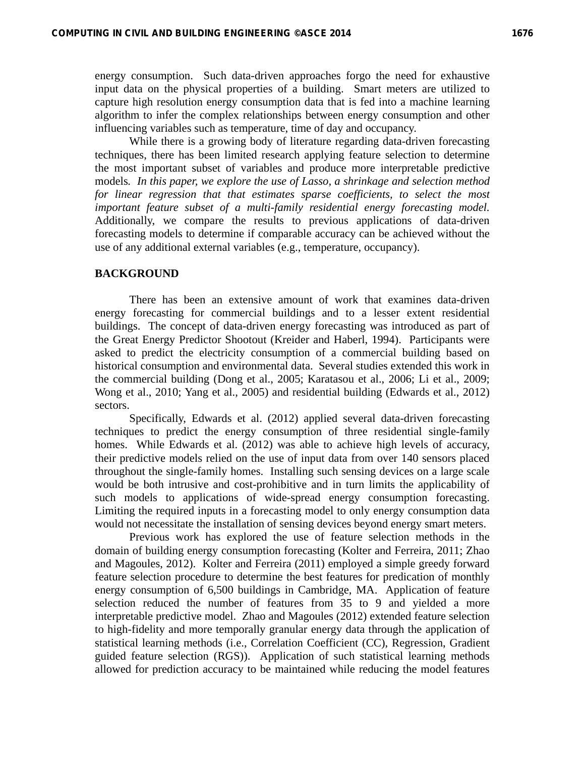energy consumption. Such data-driven approaches forgo the need for exhaustive input data on the physical properties of a building. Smart meters are utilized to capture high resolution energy consumption data that is fed into a machine learning algorithm to infer the complex relationships between energy consumption and other influencing variables such as temperature, time of day and occupancy.

While there is a growing body of literature regarding data-driven forecasting techniques, there has been limited research applying feature selection to determine the most important subset of variables and produce more interpretable predictive models*. In this paper, we explore the use of Lasso, a shrinkage and selection method for linear regression that that estimates sparse coefficients, to select the most important feature subset of a multi-family residential energy forecasting model.*  Additionally, we compare the results to previous applications of data-driven forecasting models to determine if comparable accuracy can be achieved without the use of any additional external variables (e.g., temperature, occupancy).

# **BACKGROUND**

There has been an extensive amount of work that examines data-driven energy forecasting for commercial buildings and to a lesser extent residential buildings. The concept of data-driven energy forecasting was introduced as part of the Great Energy Predictor Shootout (Kreider and Haberl, 1994). Participants were asked to predict the electricity consumption of a commercial building based on historical consumption and environmental data. Several studies extended this work in the commercial building (Dong et al., 2005; Karatasou et al., 2006; Li et al., 2009; Wong et al., 2010; Yang et al., 2005) and residential building (Edwards et al., 2012) sectors.

Specifically, Edwards et al. (2012) applied several data-driven forecasting techniques to predict the energy consumption of three residential single-family homes. While Edwards et al. (2012) was able to achieve high levels of accuracy, their predictive models relied on the use of input data from over 140 sensors placed throughout the single-family homes. Installing such sensing devices on a large scale would be both intrusive and cost-prohibitive and in turn limits the applicability of such models to applications of wide-spread energy consumption forecasting. Limiting the required inputs in a forecasting model to only energy consumption data would not necessitate the installation of sensing devices beyond energy smart meters.

Previous work has explored the use of feature selection methods in the domain of building energy consumption forecasting (Kolter and Ferreira, 2011; Zhao and Magoules, 2012). Kolter and Ferreira (2011) employed a simple greedy forward feature selection procedure to determine the best features for predication of monthly energy consumption of 6,500 buildings in Cambridge, MA. Application of feature selection reduced the number of features from 35 to 9 and yielded a more interpretable predictive model. Zhao and Magoules (2012) extended feature selection to high-fidelity and more temporally granular energy data through the application of statistical learning methods (i.e., Correlation Coefficient (CC), Regression, Gradient guided feature selection (RGS)). Application of such statistical learning methods allowed for prediction accuracy to be maintained while reducing the model features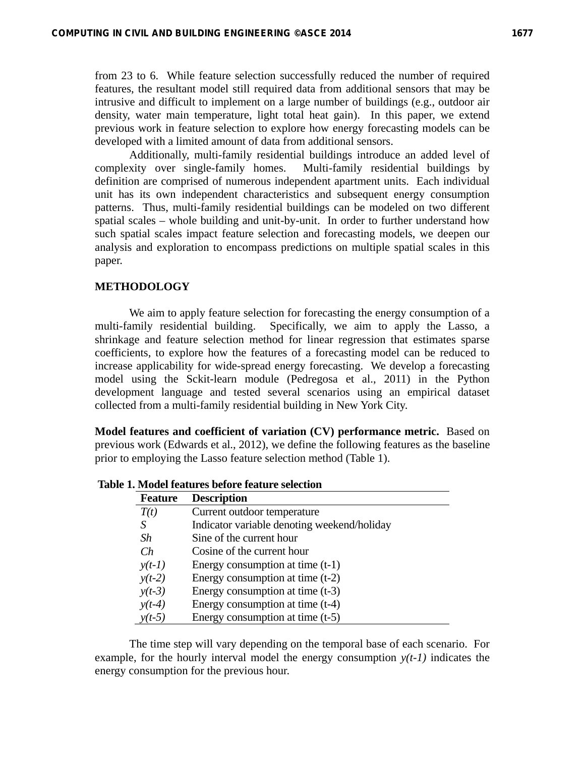from 23 to 6. While feature selection successfully reduced the number of required features, the resultant model still required data from additional sensors that may be intrusive and difficult to implement on a large number of buildings (e.g., outdoor air density, water main temperature, light total heat gain). In this paper, we extend previous work in feature selection to explore how energy forecasting models can be developed with a limited amount of data from additional sensors.

Additionally, multi-family residential buildings introduce an added level of complexity over single-family homes. Multi-family residential buildings by definition are comprised of numerous independent apartment units. Each individual unit has its own independent characteristics and subsequent energy consumption patterns. Thus, multi-family residential buildings can be modeled on two different spatial scales – whole building and unit-by-unit. In order to further understand how such spatial scales impact feature selection and forecasting models, we deepen our analysis and exploration to encompass predictions on multiple spatial scales in this paper.

## **METHODOLOGY**

We aim to apply feature selection for forecasting the energy consumption of a multi-family residential building. Specifically, we aim to apply the Lasso, a shrinkage and feature selection method for linear regression that estimates sparse coefficients, to explore how the features of a forecasting model can be reduced to increase applicability for wide-spread energy forecasting. We develop a forecasting model using the Sckit-learn module (Pedregosa et al., 2011) in the Python development language and tested several scenarios using an empirical dataset collected from a multi-family residential building in New York City.

**Model features and coefficient of variation (CV) performance metric.** Based on previous work (Edwards et al., 2012), we define the following features as the baseline prior to employing the Lasso feature selection method (Table 1).

| <b>Feature</b> | <b>Description</b>                          |
|----------------|---------------------------------------------|
| T(t)           | Current outdoor temperature                 |
| S              | Indicator variable denoting weekend/holiday |
| Sh             | Sine of the current hour                    |
| Ch             | Cosine of the current hour                  |
| $y(t-1)$       | Energy consumption at time $(t-1)$          |
| $y(t-2)$       | Energy consumption at time $(t-2)$          |
| $y(t-3)$       | Energy consumption at time $(t-3)$          |
| $y(t-4)$       | Energy consumption at time (t-4)            |
| $y(t-5)$       | Energy consumption at time $(t-5)$          |

**Table 1. Model features before feature selection** 

The time step will vary depending on the temporal base of each scenario. For example, for the hourly interval model the energy consumption  $y(t-1)$  indicates the energy consumption for the previous hour.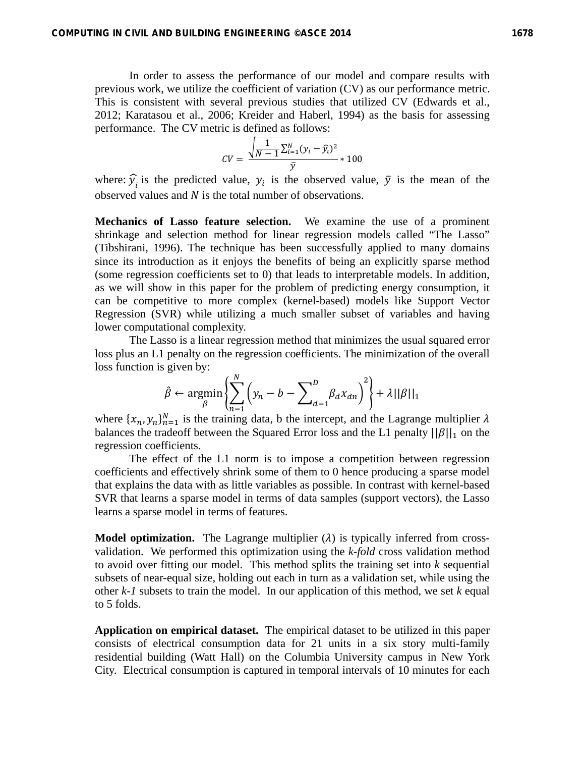In order to assess the performance of our model and compare results with previous work, we utilize the coefficient of variation (CV) as our performance metric. This is consistent with several previous studies that utilized CV (Edwards et al., 2012; Karatasou et al., 2006; Kreider and Haberl, 1994) as the basis for assessing performance. The CV metric is defined as follows:

$$
CV = \frac{\sqrt{\frac{1}{N-1} \sum_{i=1}^{N} (y_i - \hat{y}_i)^2}}{\bar{y}} * 100
$$

where:  $\hat{y}$  is the predicted value,  $y_i$  is the observed value,  $\bar{y}$  is the mean of the observed values and  *is the total number of observations.* 

**Mechanics of Lasso feature selection.** We examine the use of a prominent shrinkage and selection method for linear regression models called "The Lasso" (Tibshirani, 1996). The technique has been successfully applied to many domains since its introduction as it enjoys the benefits of being an explicitly sparse method (some regression coefficients set to 0) that leads to interpretable models. In addition, as we will show in this paper for the problem of predicting energy consumption, it can be competitive to more complex (kernel-based) models like Support Vector Regression (SVR) while utilizing a much smaller subset of variables and having lower computational complexity.

The Lasso is a linear regression method that minimizes the usual squared error loss plus an L1 penalty on the regression coefficients. The minimization of the overall loss function is given by:

$$
\hat{\beta} \leftarrow \underset{\beta}{\text{argmin}} \left\{ \sum_{n=1}^{N} \left( y_n - b - \sum_{d=1}^{D} \beta_d x_{dn} \right)^2 \right\} + \lambda ||\beta||_1
$$

where  $\{x_n, y_n\}_{n=1}^N$  is the training data, b the intercept, and the Lagrange multiplier  $\lambda$ balances the tradeoff between the Squared Error loss and the L1 penalty  $||\beta||_1$  on the regression coefficients.

The effect of the L1 norm is to impose a competition between regression coefficients and effectively shrink some of them to 0 hence producing a sparse model that explains the data with as little variables as possible. In contrast with kernel-based SVR that learns a sparse model in terms of data samples (support vectors), the Lasso learns a sparse model in terms of features.

**Model optimization.** The Lagrange multiplier  $(\lambda)$  is typically inferred from crossvalidation. We performed this optimization using the *k-fold* cross validation method to avoid over fitting our model. This method splits the training set into *k* sequential subsets of near-equal size, holding out each in turn as a validation set, while using the other *k-1* subsets to train the model. In our application of this method, we set *k* equal to 5 folds.

**Application on empirical dataset.** The empirical dataset to be utilized in this paper consists of electrical consumption data for 21 units in a six story multi-family residential building (Watt Hall) on the Columbia University campus in New York City. Electrical consumption is captured in temporal intervals of 10 minutes for each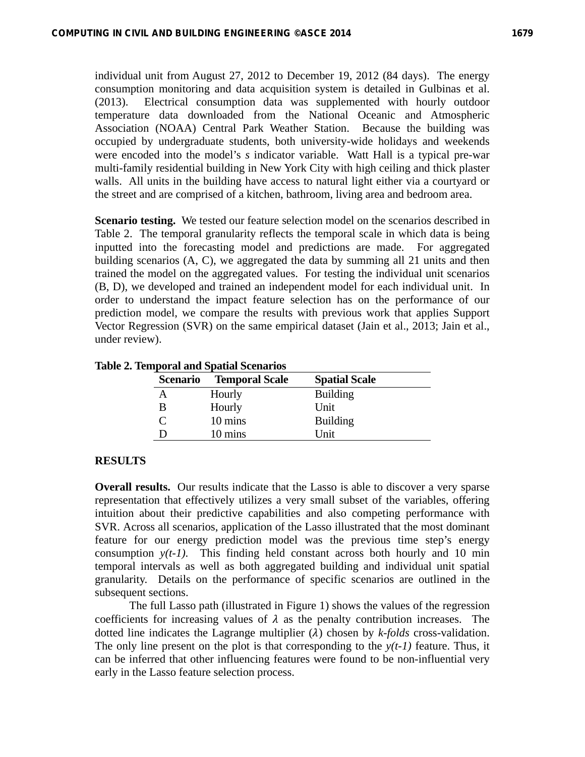individual unit from August 27, 2012 to December 19, 2012 (84 days). The energy consumption monitoring and data acquisition system is detailed in Gulbinas et al. (2013). Electrical consumption data was supplemented with hourly outdoor temperature data downloaded from the National Oceanic and Atmospheric Association (NOAA) Central Park Weather Station. Because the building was occupied by undergraduate students, both university-wide holidays and weekends were encoded into the model's *s* indicator variable. Watt Hall is a typical pre-war multi-family residential building in New York City with high ceiling and thick plaster walls. All units in the building have access to natural light either via a courtyard or the street and are comprised of a kitchen, bathroom, living area and bedroom area.

**Scenario testing.** We tested our feature selection model on the scenarios described in Table 2. The temporal granularity reflects the temporal scale in which data is being inputted into the forecasting model and predictions are made. For aggregated building scenarios (A, C), we aggregated the data by summing all 21 units and then trained the model on the aggregated values. For testing the individual unit scenarios (B, D), we developed and trained an independent model for each individual unit. In order to understand the impact feature selection has on the performance of our prediction model, we compare the results with previous work that applies Support Vector Regression (SVR) on the same empirical dataset (Jain et al., 2013; Jain et al., under review).

| <b>Scenario</b> | <b>Temporal Scale</b> | <b>Spatial Scale</b> |
|-----------------|-----------------------|----------------------|
| А               | Hourly                | <b>Building</b>      |
| В               | Hourly                | Unit                 |
|                 | 10 mins               | <b>Building</b>      |
| נ ו             | 10 mins               | I Jnit               |

#### **Table 2. Temporal and Spatial Scenarios**

#### **RESULTS**

**Overall results.** Our results indicate that the Lasso is able to discover a very sparse representation that effectively utilizes a very small subset of the variables, offering intuition about their predictive capabilities and also competing performance with SVR. Across all scenarios, application of the Lasso illustrated that the most dominant feature for our energy prediction model was the previous time step's energy consumption  $y(t-1)$ . This finding held constant across both hourly and 10 min temporal intervals as well as both aggregated building and individual unit spatial granularity. Details on the performance of specific scenarios are outlined in the subsequent sections.

The full Lasso path (illustrated in Figure 1) shows the values of the regression coefficients for increasing values of  $\lambda$  as the penalty contribution increases. The dotted line indicates the Lagrange multiplier  $(\lambda)$  chosen by *k-folds* cross-validation. The only line present on the plot is that corresponding to the  $y(t-1)$  feature. Thus, it can be inferred that other influencing features were found to be non-influential very early in the Lasso feature selection process.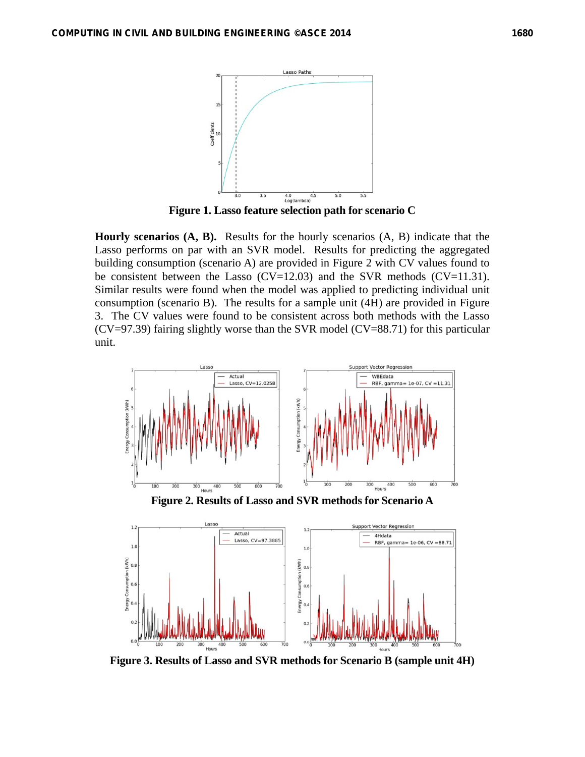

**Figure 1. Lasso feature selection path for scenario C** 

**Hourly scenarios (A, B).** Results for the hourly scenarios (A, B) indicate that the Lasso performs on par with an SVR model. Results for predicting the aggregated building consumption (scenario A) are provided in Figure 2 with CV values found to be consistent between the Lasso (CV=12.03) and the SVR methods (CV=11.31). Similar results were found when the model was applied to predicting individual unit consumption (scenario B). The results for a sample unit (4H) are provided in Figure 3. The CV values were found to be consistent across both methods with the Lasso (CV=97.39) fairing slightly worse than the SVR model (CV=88.71) for this particular unit.



**Figure 2. Results of Lasso and SVR methods for Scenario A** 



**Figure 3. Results of Lasso and SVR methods for Scenario B (sample unit 4H)**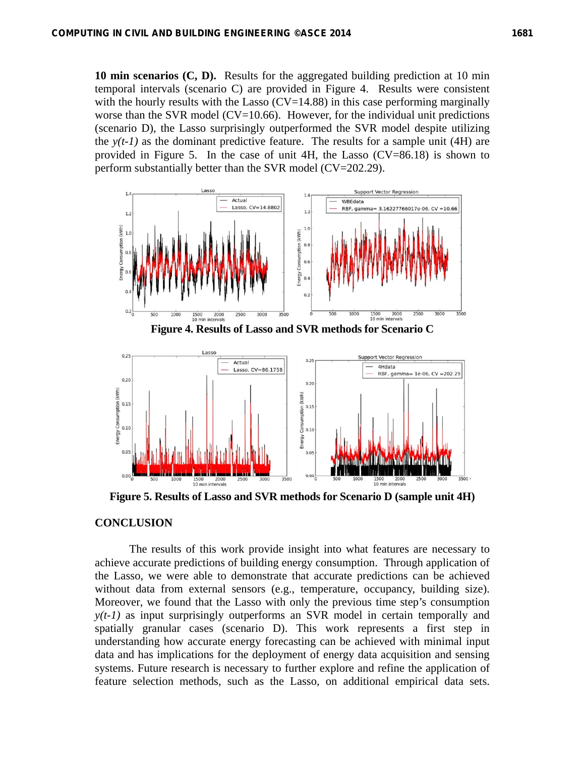**10 min scenarios (C, D).** Results for the aggregated building prediction at 10 min temporal intervals (scenario C) are provided in Figure 4. Results were consistent with the hourly results with the Lasso  $(CV=14.88)$  in this case performing marginally worse than the SVR model (CV=10.66). However, for the individual unit predictions (scenario D), the Lasso surprisingly outperformed the SVR model despite utilizing the  $y(t-1)$  as the dominant predictive feature. The results for a sample unit (4H) are provided in Figure 5. In the case of unit 4H, the Lasso (CV=86.18) is shown to perform substantially better than the SVR model (CV=202.29).



**Figure 5. Results of Lasso and SVR methods for Scenario D (sample unit 4H)** 

## **CONCLUSION**

The results of this work provide insight into what features are necessary to achieve accurate predictions of building energy consumption. Through application of the Lasso, we were able to demonstrate that accurate predictions can be achieved without data from external sensors (e.g., temperature, occupancy, building size). Moreover, we found that the Lasso with only the previous time step's consumption *y(t-1)* as input surprisingly outperforms an SVR model in certain temporally and spatially granular cases (scenario D). This work represents a first step in understanding how accurate energy forecasting can be achieved with minimal input data and has implications for the deployment of energy data acquisition and sensing systems. Future research is necessary to further explore and refine the application of feature selection methods, such as the Lasso, on additional empirical data sets.